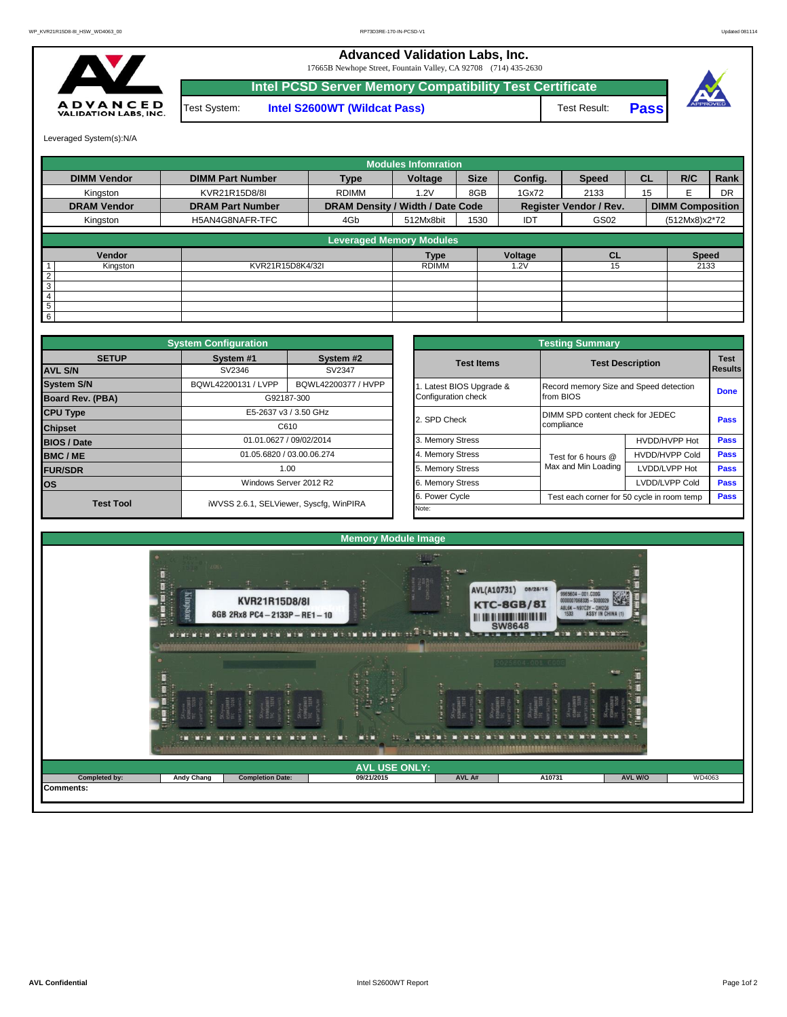## **Advanced Validation Labs, Inc.**

17665B Newhope Street, Fountain Valley, CA 92708 (714) 435-2630



**Intel S2600WT (Wildcat Pass)** Test Result: **Pass Intel PCSD Server Memory Compatibility Test Certificate** Test System:





Leveraged System(s):N/A

|                    |                         |                                  | <b>Modules Infomration</b> |             |            |                               |           |                         |      |  |
|--------------------|-------------------------|----------------------------------|----------------------------|-------------|------------|-------------------------------|-----------|-------------------------|------|--|
| <b>DIMM Vendor</b> | <b>DIMM Part Number</b> | <b>Type</b>                      | Voltage                    | <b>Size</b> | Config.    | <b>Speed</b>                  | <b>CL</b> | R/C                     | Rank |  |
| Kingston           | KVR21R15D8/8I           | 8GB<br><b>RDIMM</b><br>1.2V      |                            |             | 1Gx72      | 2133                          | 15        | F                       | DR   |  |
| <b>DRAM Vendor</b> | <b>DRAM Part Number</b> | DRAM Density / Width / Date Code |                            |             |            | <b>Register Vendor / Rev.</b> |           | <b>DIMM Composition</b> |      |  |
| Kingston           | H5AN4G8NAFR-TFC         | 4Gb                              | 512Mx8bit                  | 1530        | <b>IDT</b> | GS02                          |           | (512Mx8)x2*72           |      |  |
|                    |                         | <b>Leveraged Memory Modules</b>  |                            |             |            |                               |           |                         |      |  |
| Vendor             |                         |                                  | <b>Type</b>                |             | Voltage    | <b>CL</b>                     |           | <b>Speed</b>            |      |  |
| Kingston           | KVR21R15D8K4/32I        |                                  | <b>RDIMM</b>               |             | .2V        | 15                            |           | 2133                    |      |  |
| $\overline{2}$     |                         |                                  |                            |             |            |                               |           |                         |      |  |
| 3                  |                         |                                  |                            |             |            |                               |           |                         |      |  |
| 4                  |                         |                                  |                            |             |            |                               |           |                         |      |  |
| 5                  |                         |                                  |                            |             |            |                               |           |                         |      |  |
| 6                  |                         |                                  |                            |             |            |                               |           |                         |      |  |

|                                | <b>System Configuration</b> |                                         |       | <b>Testing Summary</b>                                       |                                        |                                  |             |  |  |  |  |  |  |
|--------------------------------|-----------------------------|-----------------------------------------|-------|--------------------------------------------------------------|----------------------------------------|----------------------------------|-------------|--|--|--|--|--|--|
| <b>SETUP</b><br><b>AVL S/N</b> | System #1<br>SV2346         | System #2<br>SV2347                     |       | <b>Test Items</b>                                            | <b>Test Description</b>                | <b>Test</b><br>Results           |             |  |  |  |  |  |  |
| <b>System S/N</b>              | BQWL42200131 / LVPP         | BQWL42200377 / HVPP                     |       | Latest BIOS Upgrade &                                        | Record memory Size and Speed detection | <b>Done</b>                      |             |  |  |  |  |  |  |
| <b>Board Rev. (PBA)</b>        |                             | G92187-300                              |       | Configuration check                                          | from BIOS                              |                                  |             |  |  |  |  |  |  |
| <b>CPU Type</b>                |                             | E5-2637 v3 / 3.50 GHz                   |       | 2. SPD Check                                                 |                                        | DIMM SPD content check for JEDEC |             |  |  |  |  |  |  |
| <b>Chipset</b>                 |                             | C610                                    |       |                                                              | compliance                             |                                  | <b>Pass</b> |  |  |  |  |  |  |
| <b>BIOS / Date</b>             |                             | 01.01.0627 / 09/02/2014                 |       | 3. Memory Stress                                             |                                        | HVDD/HVPP Hot                    | <b>Pass</b> |  |  |  |  |  |  |
| <b>BMC/ME</b>                  |                             | 01.05.6820 / 03.00.06.274               |       | 4. Memory Stress                                             | Test for 6 hours @                     | <b>HVDD/HVPP Cold</b>            | <b>Pass</b> |  |  |  |  |  |  |
| <b>FUR/SDR</b>                 |                             | 1.00                                    |       | 5. Memory Stress                                             | Max and Min Loading                    | LVDD/LVPP Hot                    | <b>Pass</b> |  |  |  |  |  |  |
| <b>los</b>                     |                             | Windows Server 2012 R2                  |       | 6. Memory Stress                                             |                                        | LVDD/LVPP Cold                   | <b>Pass</b> |  |  |  |  |  |  |
| <b>Test Tool</b>               |                             | iWVSS 2.6.1, SELViewer, Syscfq, WinPIRA |       | 6. Power Cycle<br>Test each corner for 50 cycle in room temp |                                        |                                  |             |  |  |  |  |  |  |
|                                |                             |                                         | Note: |                                                              |                                        |                                  |             |  |  |  |  |  |  |

|              | <b>System Configuration</b> |                                         |                       | <b>Testing Summary</b>                         |                       |      |  |  |  |  |
|--------------|-----------------------------|-----------------------------------------|-----------------------|------------------------------------------------|-----------------------|------|--|--|--|--|
| <b>SETUP</b> | System #1                   | System #2                               | <b>Test Items</b>     | <b>Test Description</b>                        |                       |      |  |  |  |  |
|              | SV2346<br>SV2347            |                                         |                       |                                                |                       |      |  |  |  |  |
|              | BQWL42200131 / LVPP         | BQWL42200377 / HVPP                     | Latest BIOS Upgrade & | Record memory Size and Speed detection         |                       |      |  |  |  |  |
| PBA)         |                             | G92187-300                              | Configuration check   | from BIOS                                      |                       |      |  |  |  |  |
|              |                             | E5-2637 v3 / 3.50 GHz                   | 2. SPD Check          | DIMM SPD content check for JEDEC<br>compliance |                       |      |  |  |  |  |
|              |                             | C610                                    |                       |                                                |                       |      |  |  |  |  |
|              |                             | 01.01.0627 / 09/02/2014                 | 3. Memory Stress      |                                                | HVDD/HVPP Hot         |      |  |  |  |  |
|              |                             | 01.05.6820 / 03.00.06.274               | 4. Memory Stress      | Test for 6 hours @                             | <b>HVDD/HVPP Cold</b> | Pass |  |  |  |  |
|              |                             | 1.00                                    | 5. Memory Stress      | Max and Min Loading                            | LVDD/LVPP Hot         |      |  |  |  |  |
|              |                             | Windows Server 2012 R2                  | 6. Memory Stress      | LVDD/LVPP Cold                                 |                       |      |  |  |  |  |
|              |                             |                                         | 6. Power Cycle        | Test each corner for 50 cycle in room temp     |                       |      |  |  |  |  |
| est Tool     |                             | iWVSS 2.6.1, SELViewer, Syscfg, WinPIRA | Note:                 |                                                |                       |      |  |  |  |  |